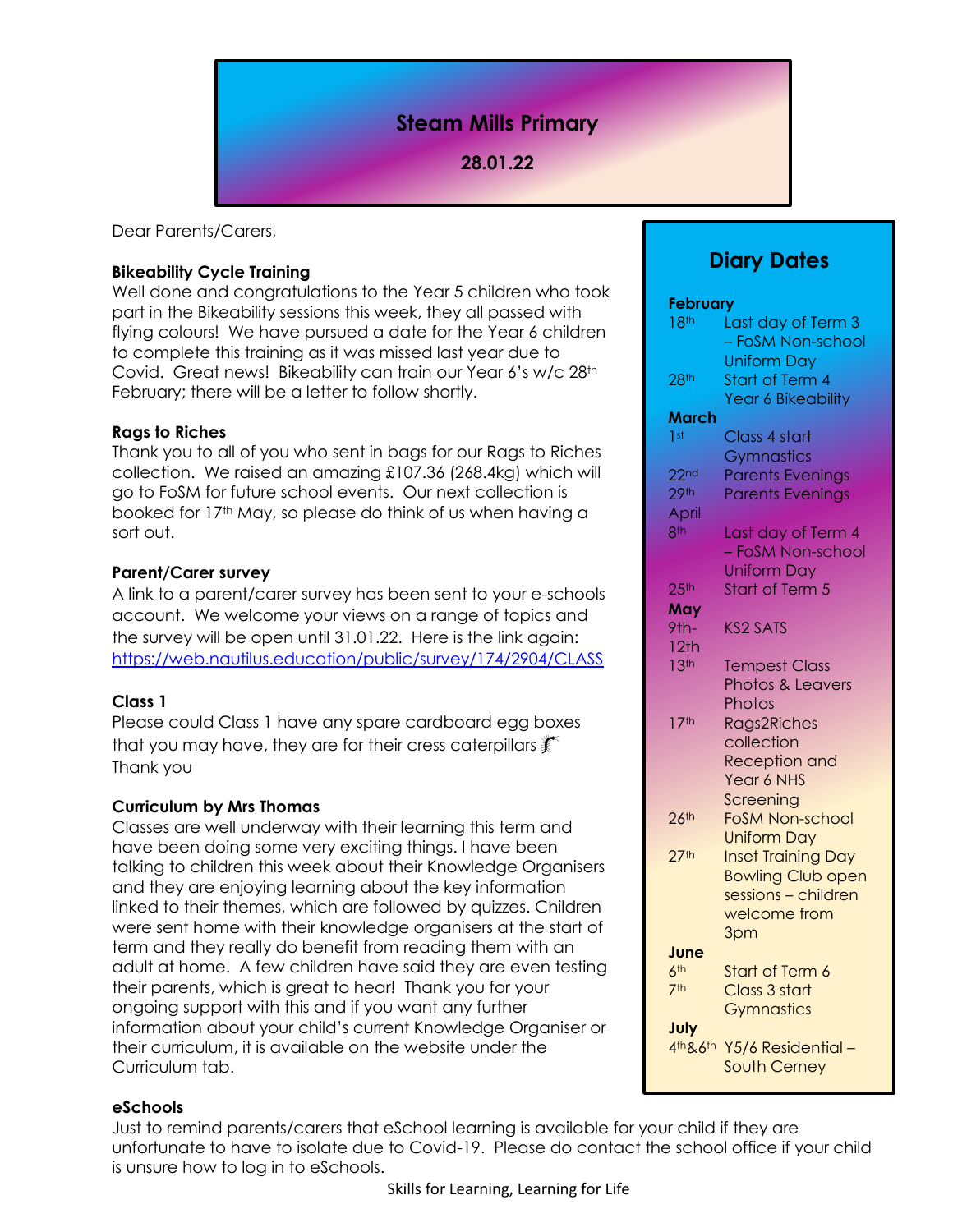# **Steam Mills Primary**

# **28.01.22**

Dear Parents/Carers,

### **Bikeability Cycle Training**

Well done and congratulations to the Year 5 children who took part in the Bikeability sessions this week, they all passed with flying colours! We have pursued a date for the Year 6 children to complete this training as it was missed last year due to Covid. Great news! Bikeability can train our Year 6's w/c 28th February; there will be a letter to follow shortly.

## **Rags to Riches**

Thank you to all of you who sent in bags for our Rags to Riches collection. We raised an amazing £107.36 (268.4kg) which will go to FoSM for future school events. Our next collection is booked for 17<sup>th</sup> May, so please do think of us when having a sort out.

### **Parent/Carer survey**

A link to a parent/carer survey has been sent to your e-schools account. We welcome your views on a range of topics and the survey will be open until 31.01.22. Here is the link again: <https://web.nautilus.education/public/survey/174/2904/CLASS>

## **Class 1**

Please could Class 1 have any spare cardboard egg boxes that you may have, they are for their cress caterpillars  $\mathbb K$ Thank you

### **Curriculum by Mrs Thomas**

Classes are well underway with their learning this term and have been doing some very exciting things. I have been talking to children this week about their Knowledge Organisers and they are enjoying learning about the key information linked to their themes, which are followed by quizzes. Children were sent home with their knowledge organisers at the start of term and they really do benefit from reading them with an adult at home. A few children have said they are even testing their parents, which is great to hear! Thank you for your ongoing support with this and if you want any further information about your child's current Knowledge Organiser or their curriculum, it is available on the website under the Curriculum tab.

# **Diary Dates**

**February** 18<sup>th</sup> Last day of Term 3 – FoSM Non-school Uniform Day 28<sup>th</sup> Start of Term 4 Year 6 Bikeability **March** 1st Class 4 start **Gymnastics** 22<sup>nd</sup> Parents Evenings 29<sup>th</sup> Parents Evenings **April** 8<sup>th</sup> Last day of Term 4 – FoSM Non-school Uniform Day 25<sup>th</sup> Start of Term 5 **May** 9th- KS2 SATS 12th 13<sup>th</sup> Tempest Class Photos & Leavers **Photos** 17<sup>th</sup> Rags2Riches collection Reception and Year 6 NHS **Screening** 26th FoSM Non-school Uniform Day 27<sup>th</sup> Inset Training Day Bowling Club open sessions – children welcome from 3pm **June** 6<sup>th</sup> Start of Term 6 7th Class 3 start **Gymnastics July** 4th&6th Y5/6 Residential – South Cerney

### **eSchools**

Just to remind parents/carers that eSchool learning is available for your child if they are unfortunate to have to isolate due to Covid-19. Please do contact the school office if your child is unsure how to log in to eSchools.